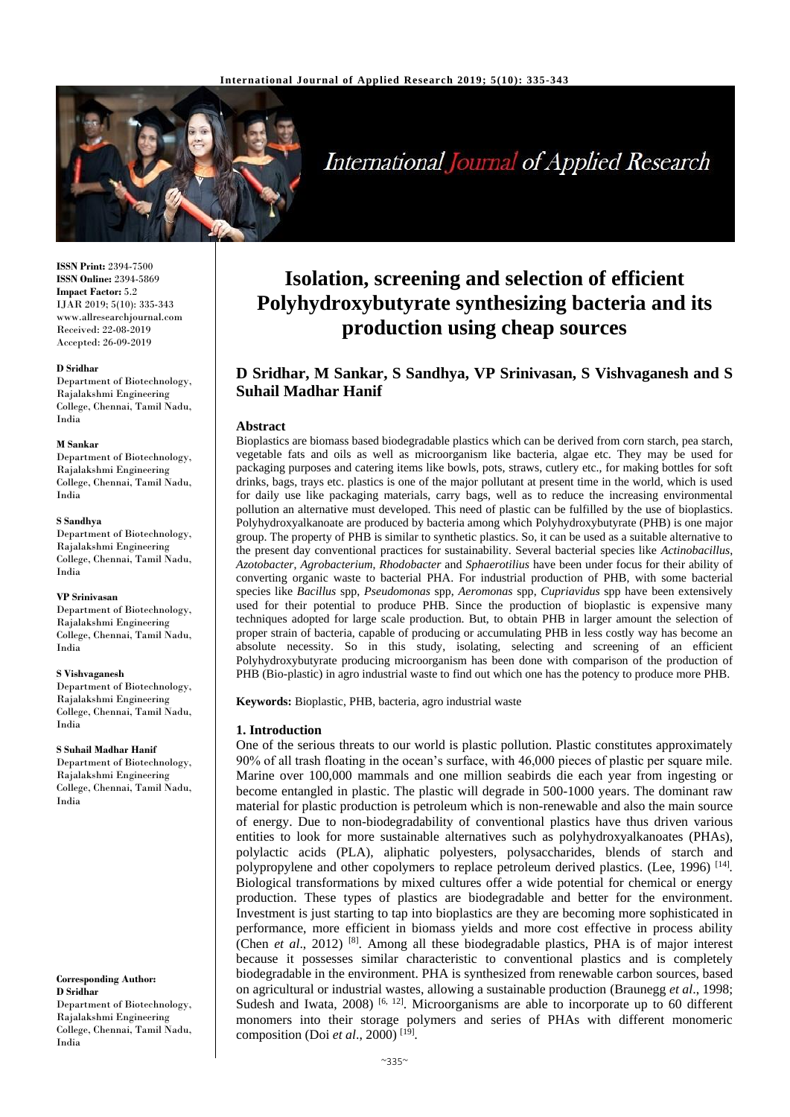

# **International Journal of Applied Research**

**ISSN Print:** 2394-7500 **ISSN Online:** 2394-5869 **Impact Factor:** 5.2 IJAR 2019; 5(10): 335-343 www.allresearchjournal.com Received: 22-08-2019 Accepted: 26-09-2019

#### **D Sridhar**

Department of Biotechnology, Rajalakshmi Engineering College, Chennai, Tamil Nadu, India

#### **M Sankar**

Department of Biotechnology, Rajalakshmi Engineering College, Chennai, Tamil Nadu, India

#### **S Sandhya**

Department of Biotechnology, Rajalakshmi Engineering College, Chennai, Tamil Nadu, India

#### **VP Srinivasan**

Department of Biotechnology, Rajalakshmi Engineering College, Chennai, Tamil Nadu, India

#### **S Vishvaganesh**

Department of Biotechnology, Rajalakshmi Engineering College, Chennai, Tamil Nadu, India

#### **S Suhail Madhar Hanif**

Department of Biotechnology, Rajalakshmi Engineering College, Chennai, Tamil Nadu, India

**Corresponding Author: D Sridhar** Department of Biotechnology, Rajalakshmi Engineering College, Chennai, Tamil Nadu, India

# **Isolation, screening and selection of efficient Polyhydroxybutyrate synthesizing bacteria and its production using cheap sources**

## **D Sridhar, M Sankar, S Sandhya, VP Srinivasan, S Vishvaganesh and S Suhail Madhar Hanif**

#### **Abstract**

Bioplastics are biomass based biodegradable plastics which can be derived from corn starch, pea starch, vegetable fats and oils as well as microorganism like bacteria, algae etc. They may be used for packaging purposes and catering items like bowls, pots, straws, cutlery etc., for making bottles for soft drinks, bags, trays etc. plastics is one of the major pollutant at present time in the world, which is used for daily use like packaging materials, carry bags, well as to reduce the increasing environmental pollution an alternative must developed. This need of plastic can be fulfilled by the use of bioplastics. Polyhydroxyalkanoate are produced by bacteria among which Polyhydroxybutyrate (PHB) is one major group. The property of PHB is similar to synthetic plastics. So, it can be used as a suitable alternative to the present day conventional practices for sustainability. Several bacterial species like *Actinobacillus*, *Azotobacter*, *Agrobacterium*, *Rhodobacter* and *Sphaerotilius* have been under focus for their ability of converting organic waste to bacterial PHA. For industrial production of PHB, with some bacterial species like *Bacillus* spp, *Pseudomonas* spp, *Aeromonas* spp, *Cupriavidus* spp have been extensively used for their potential to produce PHB. Since the production of bioplastic is expensive many techniques adopted for large scale production. But, to obtain PHB in larger amount the selection of proper strain of bacteria, capable of producing or accumulating PHB in less costly way has become an absolute necessity. So in this study, isolating, selecting and screening of an efficient Polyhydroxybutyrate producing microorganism has been done with comparison of the production of PHB (Bio-plastic) in agro industrial waste to find out which one has the potency to produce more PHB.

**Keywords:** Bioplastic, PHB, bacteria, agro industrial waste

#### **1. Introduction**

One of the serious threats to our world is plastic pollution. Plastic constitutes approximately 90% of all trash floating in the ocean's surface, with 46,000 pieces of plastic per square mile. Marine over 100,000 mammals and one million seabirds die each year from ingesting or become entangled in plastic. The plastic will degrade in 500-1000 years. The dominant raw material for plastic production is petroleum which is non-renewable and also the main source of energy. Due to non-biodegradability of conventional plastics have thus driven various entities to look for more sustainable alternatives such as polyhydroxyalkanoates (PHAs), polylactic acids (PLA), aliphatic polyesters, polysaccharides, blends of starch and polypropylene and other copolymers to replace petroleum derived plastics. (Lee, 1996)<sup>[14]</sup>. Biological transformations by mixed cultures offer a wide potential for chemical or energy production. These types of plastics are biodegradable and better for the environment. Investment is just starting to tap into bioplastics are they are becoming more sophisticated in performance, more efficient in biomass yields and more cost effective in process ability (Chen *et al*., 2012) [8] . Among all these biodegradable plastics, PHA is of major interest because it possesses similar characteristic to conventional plastics and is completely biodegradable in the environment. PHA is synthesized from renewable carbon sources, based on agricultural or industrial wastes, allowing a sustainable production (Braunegg *et al*., 1998; Sudesh and Iwata, 2008)<sup>[6, 12]</sup>. Microorganisms are able to incorporate up to 60 different monomers into their storage polymers and series of PHAs with different monomeric composition (Doi *et al*., 2000) [19] *.*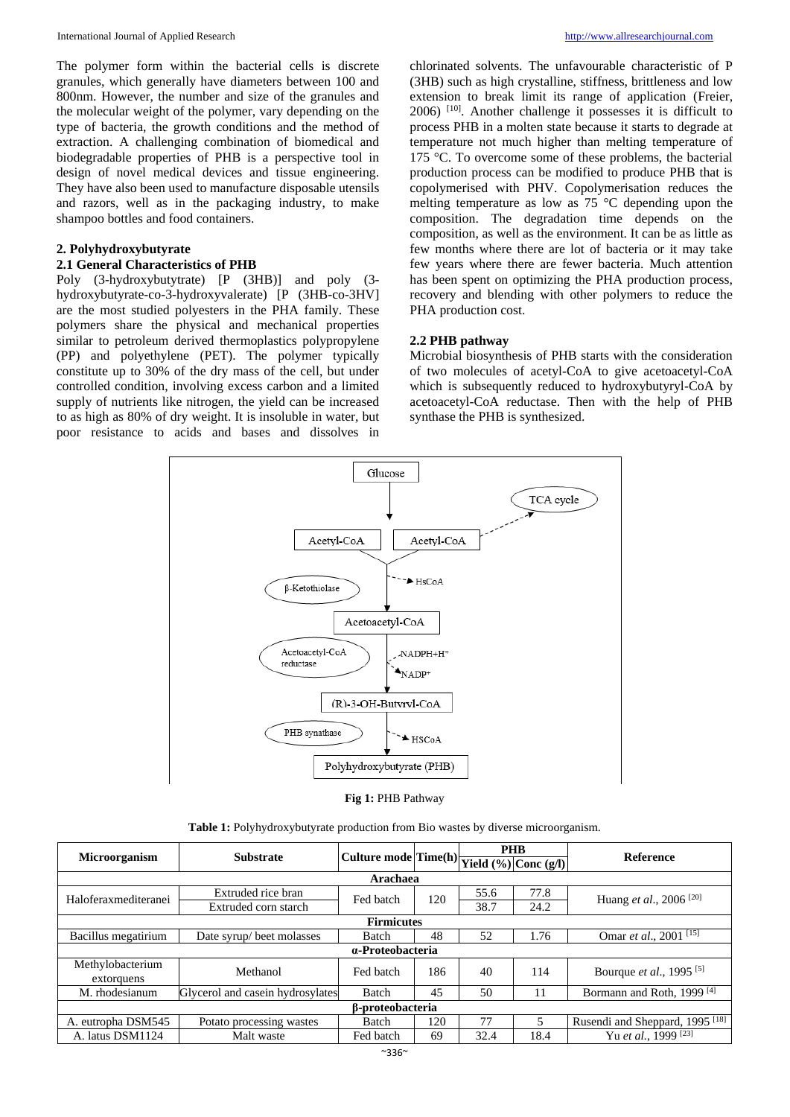The polymer form within the bacterial cells is discrete granules, which generally have diameters between 100 and 800nm. However, the number and size of the granules and the molecular weight of the polymer, vary depending on the type of bacteria, the growth conditions and the method of extraction. A challenging combination of biomedical and biodegradable properties of PHB is a perspective tool in design of novel medical devices and tissue engineering. They have also been used to manufacture disposable utensils and razors, well as in the packaging industry, to make shampoo bottles and food containers.

#### **2. Polyhydroxybutyrate**

#### **2.1 General Characteristics of PHB**

Poly (3-hydroxybutytrate) [P (3HB)] and poly (3 hydroxybutyrate-co-3-hydroxyvalerate) [P (3HB-co-3HV] are the most studied polyesters in the PHA family. These polymers share the physical and mechanical properties similar to petroleum derived thermoplastics polypropylene (PP) and polyethylene (PET). The polymer typically constitute up to 30% of the dry mass of the cell, but under controlled condition, involving excess carbon and a limited supply of nutrients like nitrogen, the yield can be increased to as high as 80% of dry weight. It is insoluble in water, but poor resistance to acids and bases and dissolves in

chlorinated solvents. The unfavourable characteristic of P (3HB) such as high crystalline, stiffness, brittleness and low extension to break limit its range of application (Freier, 2006) [10]. Another challenge it possesses it is difficult to process PHB in a molten state because it starts to degrade at temperature not much higher than melting temperature of 175 °C. To overcome some of these problems, the bacterial production process can be modified to produce PHB that is copolymerised with PHV. Copolymerisation reduces the melting temperature as low as 75 °C depending upon the composition. The degradation time depends on the composition, as well as the environment. It can be as little as few months where there are lot of bacteria or it may take few years where there are fewer bacteria. Much attention has been spent on optimizing the PHA production process, recovery and blending with other polymers to reduce the PHA production cost.

#### **2.2 PHB pathway**

Microbial biosynthesis of PHB starts with the consideration of two molecules of acetyl-CoA to give acetoacetyl-CoA which is subsequently reduced to hydroxybutyryl-CoA by acetoacetyl-CoA reductase. Then with the help of PHB synthase the PHB is synthesized.



|  |  | Fig 1: PHB Pathway |
|--|--|--------------------|
|--|--|--------------------|

| <b>Table 1:</b> Polyhydroxybutyrate production from Bio wastes by diverse microorganism. |  |  |  |  |  |  |  |  |  |
|------------------------------------------------------------------------------------------|--|--|--|--|--|--|--|--|--|
|------------------------------------------------------------------------------------------|--|--|--|--|--|--|--|--|--|

| <b>Microorganism</b>    | <b>Substrate</b>                 | Culture mode $ \text{Time(h)} $ $\text{Yield}$ (%) Conc (g/l) |     |      | <b>PHB</b> | <b>Reference</b>                           |  |
|-------------------------|----------------------------------|---------------------------------------------------------------|-----|------|------------|--------------------------------------------|--|
|                         |                                  |                                                               |     |      |            |                                            |  |
| Arachaea                |                                  |                                                               |     |      |            |                                            |  |
| Haloferaxmediteranei    | Extruded rice bran               | Fed batch                                                     | 120 | 55.6 | 77.8       | Huang et al., 2006 <sup>[20]</sup>         |  |
|                         | Extruded corn starch             |                                                               |     | 38.7 | 24.2       |                                            |  |
|                         | <b>Firmicutes</b>                |                                                               |     |      |            |                                            |  |
| Bacillus megatirium     | Date syrup/beet molasses         | <b>Batch</b>                                                  | 48  | 52   | 1.76       | Omar et al., 2001 <sup>[15]</sup>          |  |
|                         | $a$ -Proteobacteria              |                                                               |     |      |            |                                            |  |
| Methylobacterium        | Methanol                         | Fed batch                                                     | 186 | 40   | 114        | Bourque et al., 1995 <sup>[5]</sup>        |  |
| extorquens              |                                  |                                                               |     |      |            |                                            |  |
| M. rhodesianum          | Glycerol and casein hydrosylates | <b>Batch</b>                                                  | 45  | 50   | 11         | Bormann and Roth, 1999 <sup>[4]</sup>      |  |
| <b>B-proteobacteria</b> |                                  |                                                               |     |      |            |                                            |  |
| A. eutropha DSM545      | Potato processing wastes         | <b>Batch</b>                                                  | 120 | 77   | 5          | Rusendi and Sheppard, 1995 <sup>[18]</sup> |  |
| A. latus DSM1124        | Malt waste                       | Fed batch                                                     | 69  | 32.4 | 18.4       | Yu et al., 1999 $\sqrt{231}$               |  |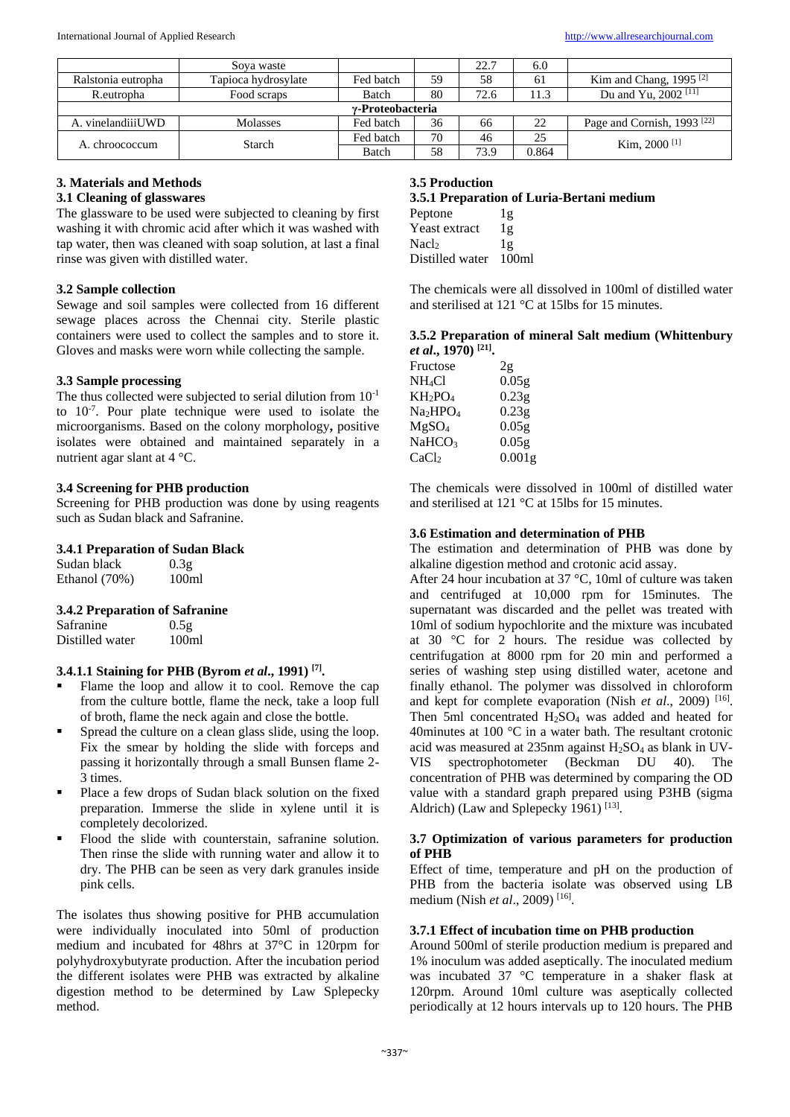|                    | Soya waste          |              |    | 22.7 | 6.0   |                                        |
|--------------------|---------------------|--------------|----|------|-------|----------------------------------------|
| Ralstonia eutropha | Tapioca hydrosylate | Fed batch    | 59 | 58   | 61    | Kim and Chang, $1995$ <sup>[2]</sup>   |
| R.eutropha         | Food scraps         | Batch        | 80 | 72.6 | 11.3  | Du and Yu, 2002 <sup>[11]</sup>        |
| v-Proteobacteria   |                     |              |    |      |       |                                        |
| A. vinelandiiiUWD  | <b>Molasses</b>     | Fed batch    | 36 | 66   | 22    | Page and Cornish, 1993 <sup>[22]</sup> |
| A. chroococcum     | Starch              | Fed batch    | 70 | 46   | 25    | Kim. 2000 $[1]$                        |
|                    |                     | <b>Batch</b> | 58 | 73.9 | 0.864 |                                        |

# **3. Materials and Methods**

## **3.1 Cleaning of glasswares**

The glassware to be used were subjected to cleaning by first washing it with chromic acid after which it was washed with tap water, then was cleaned with soap solution, at last a final rinse was given with distilled water.

## **3.2 Sample collection**

Sewage and soil samples were collected from 16 different sewage places across the Chennai city. Sterile plastic containers were used to collect the samples and to store it. Gloves and masks were worn while collecting the sample.

## **3.3 Sample processing**

The thus collected were subjected to serial dilution from  $10^{-1}$ to  $10^{-7}$ . Pour plate technique were used to isolate the microorganisms. Based on the colony morphology**,** positive isolates were obtained and maintained separately in a nutrient agar slant at 4 °C.

### **3.4 Screening for PHB production**

Screening for PHB production was done by using reagents such as Sudan black and Safranine.

### **3.4.1 Preparation of Sudan Black**

| Sudan black   | 0.3 <sub>g</sub>  |
|---------------|-------------------|
| Ethanol (70%) | 100 <sub>ml</sub> |

### **3.4.2 Preparation of Safranine**

Safranine  $0.5g$ Distilled water 100ml

## **3.4.1.1 Staining for PHB (Byrom** *et al***., 1991) [7] .**

- Flame the loop and allow it to cool. Remove the cap from the culture bottle, flame the neck, take a loop full of broth, flame the neck again and close the bottle.
- **Spread the culture on a clean glass slide, using the loop.** Fix the smear by holding the slide with forceps and passing it horizontally through a small Bunsen flame 2- 3 times.
- Place a few drops of Sudan black solution on the fixed preparation. Immerse the slide in xylene until it is completely decolorized.
- Flood the slide with counterstain, safranine solution. Then rinse the slide with running water and allow it to dry. The PHB can be seen as very dark granules inside pink cells.

The isolates thus showing positive for PHB accumulation were individually inoculated into 50ml of production medium and incubated for 48hrs at 37°C in 120rpm for polyhydroxybutyrate production. After the incubation period the different isolates were PHB was extracted by alkaline digestion method to be determined by Law Splepecky method.

### **3.5 Production**

## **3.5.1 Preparation of Luria-Bertani medium**

| Peptone              | 1g                |
|----------------------|-------------------|
| <b>Yeast extract</b> | 1g                |
| Nacl                 | lg                |
| Distilled water      | 100 <sub>m1</sub> |

The chemicals were all dissolved in 100ml of distilled water and sterilised at 121 °C at 15lbs for 15 minutes.

#### **3.5.2 Preparation of mineral Salt medium (Whittenbury**  *et al***., 1970) [21] .**

| Fructose           | 2g                 |
|--------------------|--------------------|
| NH <sub>4</sub> Cl | 0.05 <sub>g</sub>  |
| $KH_2PO_4$         | 0.23g              |
| $Na_2HPO_4$        | 0.23g              |
| $MgSO_4$           | 0.05g              |
| <b>NaHCO3</b>      | 0.05g              |
| CaCl <sub>2</sub>  | 0.001 <sub>g</sub> |
|                    |                    |

The chemicals were dissolved in 100ml of distilled water and sterilised at 121 °C at 15lbs for 15 minutes.

#### **3.6 Estimation and determination of PHB**

The estimation and determination of PHB was done by alkaline digestion method and crotonic acid assay.

After 24 hour incubation at 37 °C, 10ml of culture was taken and centrifuged at 10,000 rpm for 15minutes. The supernatant was discarded and the pellet was treated with 10ml of sodium hypochlorite and the mixture was incubated at 30 °C for 2 hours. The residue was collected by centrifugation at 8000 rpm for 20 min and performed a series of washing step using distilled water, acetone and finally ethanol. The polymer was dissolved in chloroform and kept for complete evaporation (Nish et al., 2009)<sup>[16]</sup>. Then 5ml concentrated  $H<sub>2</sub>SO<sub>4</sub>$  was added and heated for 40minutes at 100 °C in a water bath. The resultant crotonic acid was measured at  $235$ nm against  $H_2SO_4$  as blank in UV-VIS spectrophotometer (Beckman DU 40). The concentration of PHB was determined by comparing the OD value with a standard graph prepared using P3HB (sigma Aldrich) (Law and Splepecky 1961)<sup>[13]</sup>.

#### **3.7 Optimization of various parameters for production of PHB**

Effect of time, temperature and pH on the production of PHB from the bacteria isolate was observed using LB medium (Nish *et al*., 2009) [16] .

### **3.7.1 Effect of incubation time on PHB production**

Around 500ml of sterile production medium is prepared and 1% inoculum was added aseptically. The inoculated medium was incubated 37 °C temperature in a shaker flask at 120rpm. Around 10ml culture was aseptically collected periodically at 12 hours intervals up to 120 hours. The PHB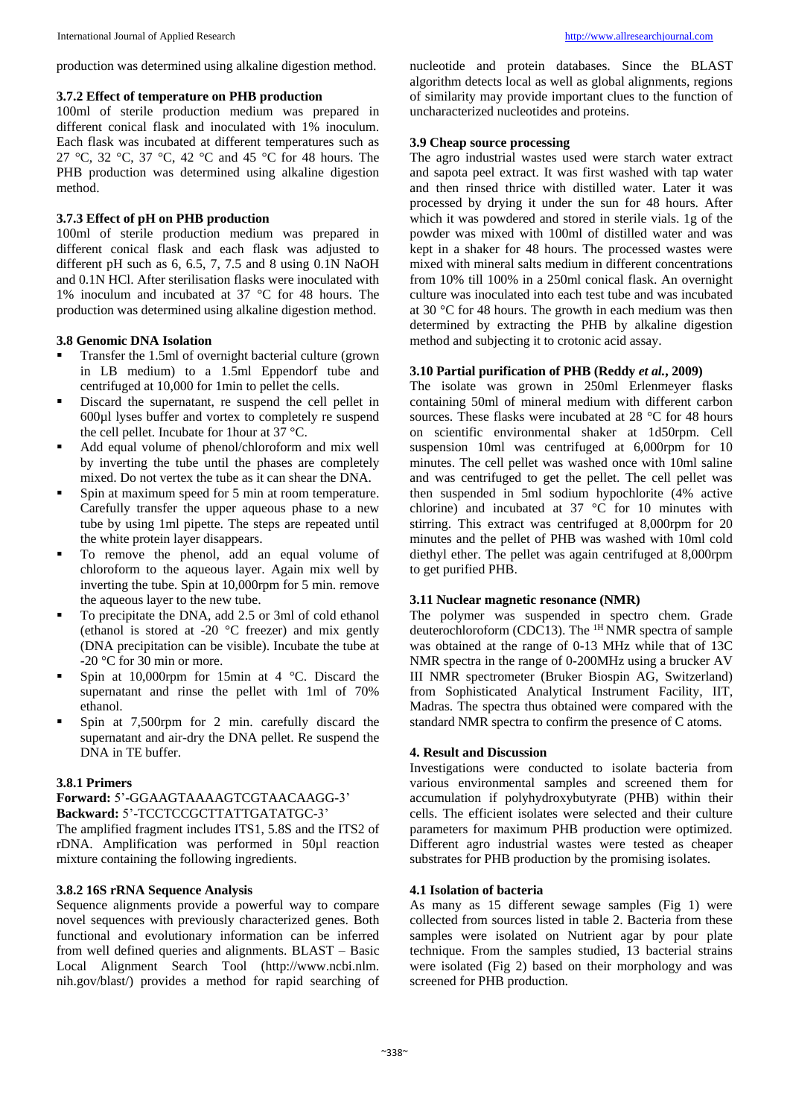production was determined using alkaline digestion method.

#### **3.7.2 Effect of temperature on PHB production**

100ml of sterile production medium was prepared in different conical flask and inoculated with 1% inoculum. Each flask was incubated at different temperatures such as 27 °C, 32 °C, 37 °C, 42 °C and 45 °C for 48 hours. The PHB production was determined using alkaline digestion method.

### **3.7.3 Effect of pH on PHB production**

100ml of sterile production medium was prepared in different conical flask and each flask was adjusted to different pH such as  $6, 6.5, 7, 7.5$  and  $8$  using  $0.1N$  NaOH and 0.1N HCl. After sterilisation flasks were inoculated with 1% inoculum and incubated at 37 °C for 48 hours. The production was determined using alkaline digestion method.

#### **3.8 Genomic DNA Isolation**

- Transfer the 1.5ml of overnight bacterial culture (grown in LB medium) to a 1.5ml Eppendorf tube and centrifuged at 10,000 for 1min to pellet the cells.
- Discard the supernatant, re suspend the cell pellet in 600µl lyses buffer and vortex to completely re suspend the cell pellet. Incubate for 1hour at 37 °C.
- Add equal volume of phenol/chloroform and mix well by inverting the tube until the phases are completely mixed. Do not vertex the tube as it can shear the DNA.
- Spin at maximum speed for 5 min at room temperature. Carefully transfer the upper aqueous phase to a new tube by using 1ml pipette. The steps are repeated until the white protein layer disappears.
- $\blacksquare$  To remove the phenol, add an equal volume of chloroform to the aqueous layer. Again mix well by inverting the tube. Spin at 10,000rpm for 5 min. remove the aqueous layer to the new tube.
- To precipitate the DNA, add 2.5 or 3ml of cold ethanol (ethanol is stored at -20 °C freezer) and mix gently (DNA precipitation can be visible). Incubate the tube at -20 °C for 30 min or more.
- Spin at 10,000rpm for 15min at 4 °C. Discard the supernatant and rinse the pellet with 1ml of 70% ethanol.
- Spin at 7,500rpm for 2 min. carefully discard the supernatant and air-dry the DNA pellet. Re suspend the DNA in TE buffer.

### **3.8.1 Primers**

#### **Forward:** 5'-GGAAGTAAAAGTCGTAACAAGG-3' **Backward:** 5'-TCCTCCGCTTATTGATATGC-3'

The amplified fragment includes ITS1, 5.8S and the ITS2 of rDNA. Amplification was performed in 50µl reaction mixture containing the following ingredients.

#### **3.8.2 16S rRNA Sequence Analysis**

Sequence alignments provide a powerful way to compare novel sequences with previously characterized genes. Both functional and evolutionary information can be inferred from well defined queries and alignments. BLAST – Basic Local Alignment Search Tool (http://www.ncbi.nlm. nih.gov/blast/) provides a method for rapid searching of nucleotide and protein databases. Since the BLAST algorithm detects local as well as global alignments, regions of similarity may provide important clues to the function of uncharacterized nucleotides and proteins.

#### **3.9 Cheap source processing**

The agro industrial wastes used were starch water extract and sapota peel extract. It was first washed with tap water and then rinsed thrice with distilled water. Later it was processed by drying it under the sun for 48 hours. After which it was powdered and stored in sterile vials. 1g of the powder was mixed with 100ml of distilled water and was kept in a shaker for 48 hours. The processed wastes were mixed with mineral salts medium in different concentrations from 10% till 100% in a 250ml conical flask. An overnight culture was inoculated into each test tube and was incubated at 30 °C for 48 hours. The growth in each medium was then determined by extracting the PHB by alkaline digestion method and subjecting it to crotonic acid assay.

#### **3.10 Partial purification of PHB (Reddy** *et al.***, 2009)**

The isolate was grown in 250ml Erlenmeyer flasks containing 50ml of mineral medium with different carbon sources. These flasks were incubated at 28 °C for 48 hours on scientific environmental shaker at 1d50rpm. Cell suspension 10ml was centrifuged at 6,000rpm for 10 minutes. The cell pellet was washed once with 10ml saline and was centrifuged to get the pellet. The cell pellet was then suspended in 5ml sodium hypochlorite (4% active chlorine) and incubated at 37 °C for 10 minutes with stirring. This extract was centrifuged at 8,000rpm for 20 minutes and the pellet of PHB was washed with 10ml cold diethyl ether. The pellet was again centrifuged at 8,000rpm to get purified PHB.

## **3.11 Nuclear magnetic resonance (NMR)**

The polymer was suspended in spectro chem. Grade deuterochloroform (CDC13). The 1H NMR spectra of sample was obtained at the range of 0-13 MHz while that of 13C NMR spectra in the range of 0-200MHz using a brucker AV III NMR spectrometer (Bruker Biospin AG, Switzerland) from Sophisticated Analytical Instrument Facility, IIT, Madras. The spectra thus obtained were compared with the standard NMR spectra to confirm the presence of C atoms.

## **4. Result and Discussion**

Investigations were conducted to isolate bacteria from various environmental samples and screened them for accumulation if polyhydroxybutyrate (PHB) within their cells. The efficient isolates were selected and their culture parameters for maximum PHB production were optimized. Different agro industrial wastes were tested as cheaper substrates for PHB production by the promising isolates.

#### **4.1 Isolation of bacteria**

As many as 15 different sewage samples (Fig 1) were collected from sources listed in table 2. Bacteria from these samples were isolated on Nutrient agar by pour plate technique. From the samples studied, 13 bacterial strains were isolated (Fig 2) based on their morphology and was screened for PHB production.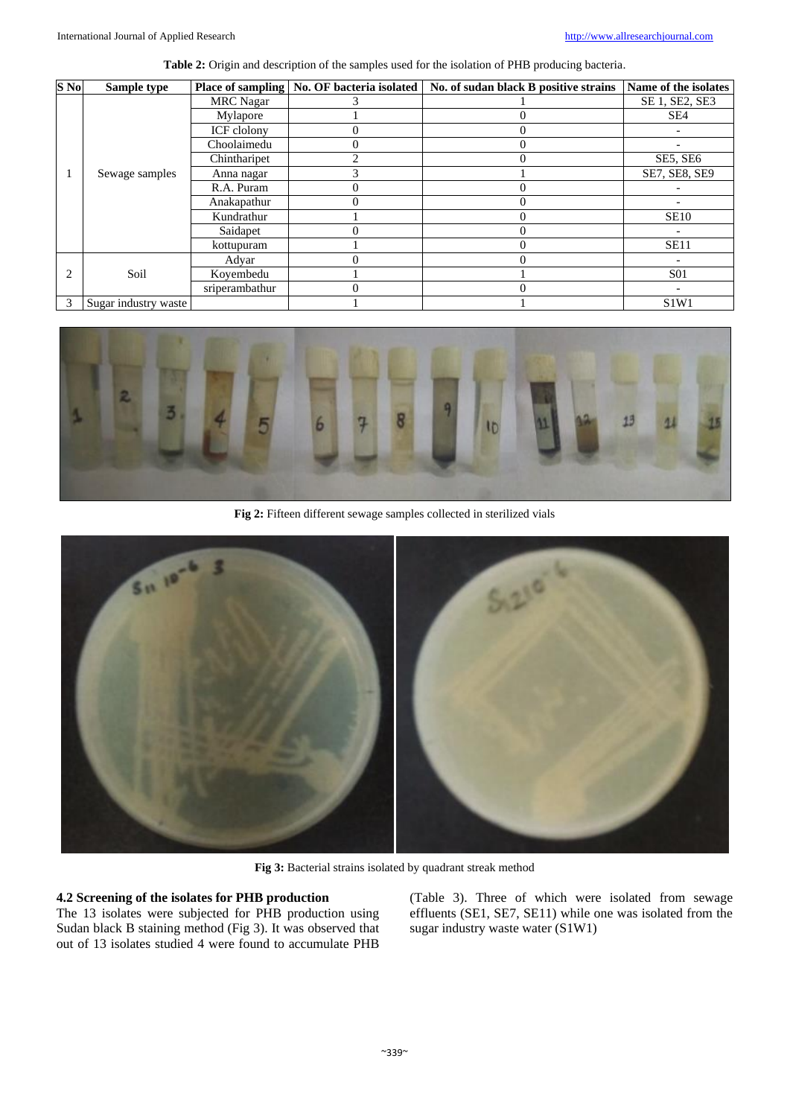| S No           | Sample type          |                  | Place of sampling   No. OF bacteria isolated | No. of sudan black B positive strains | Name of the isolates          |
|----------------|----------------------|------------------|----------------------------------------------|---------------------------------------|-------------------------------|
|                |                      | <b>MRC</b> Nagar |                                              |                                       | SE 1, SE2, SE3                |
|                |                      | Mylapore         |                                              |                                       | SE <sub>4</sub>               |
|                |                      | ICF clolony      |                                              | 0                                     |                               |
|                |                      | Choolaimedu      |                                              |                                       |                               |
|                |                      | Chintharipet     |                                              |                                       | SE5, SE6                      |
|                | Sewage samples       | Anna nagar       |                                              |                                       | SE7, SE8, SE9                 |
|                |                      | R.A. Puram       |                                              |                                       |                               |
|                |                      | Anakapathur      |                                              |                                       |                               |
|                |                      | Kundrathur       |                                              |                                       | <b>SE10</b>                   |
|                |                      | Saidapet         |                                              |                                       |                               |
|                |                      | kottupuram       |                                              |                                       | <b>SE11</b>                   |
|                |                      | Advar            |                                              |                                       |                               |
| $\overline{c}$ | Soil                 | Koyembedu        |                                              |                                       | <b>S01</b>                    |
|                |                      | sriperambathur   |                                              |                                       |                               |
| 3              | Sugar industry waste |                  |                                              |                                       | S <sub>1</sub> W <sub>1</sub> |



**Fig 2:** Fifteen different sewage samples collected in sterilized vials



**Fig 3:** Bacterial strains isolated by quadrant streak method

## **4.2 Screening of the isolates for PHB production**

The 13 isolates were subjected for PHB production using Sudan black B staining method (Fig 3). It was observed that out of 13 isolates studied 4 were found to accumulate PHB

(Table 3). Three of which were isolated from sewage effluents (SE1, SE7, SE11) while one was isolated from the sugar industry waste water (S1W1)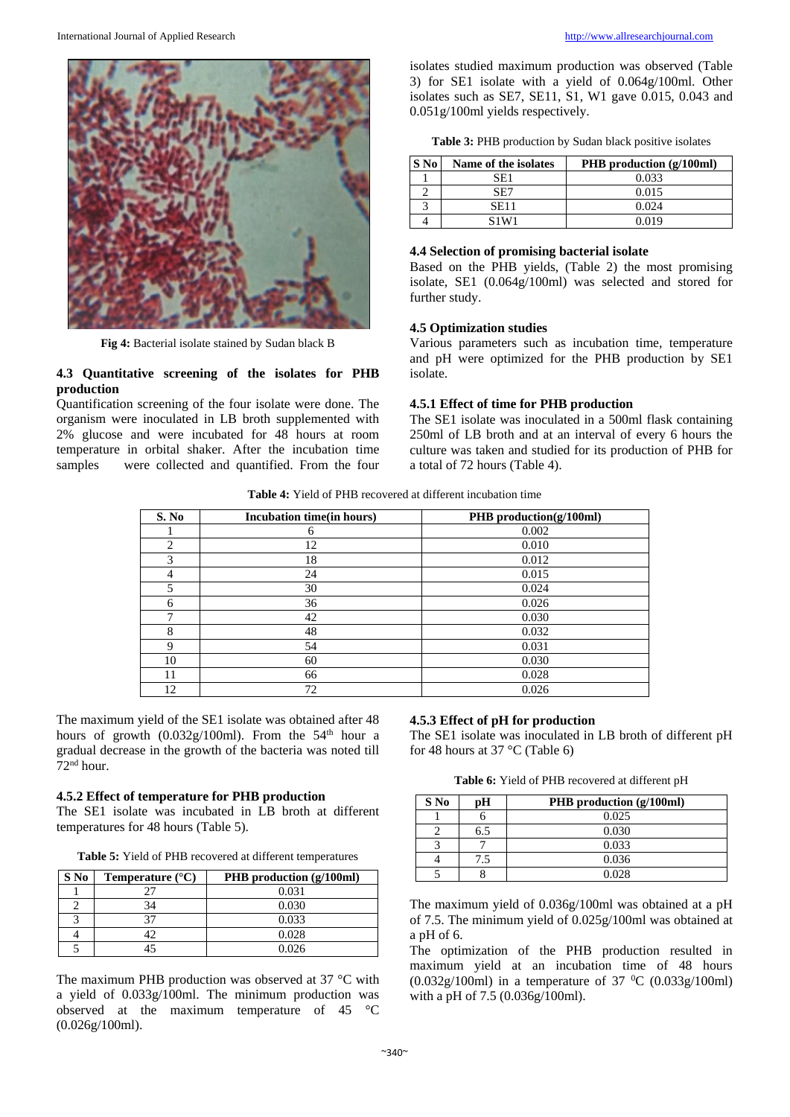

**Fig 4:** Bacterial isolate stained by Sudan black B

#### **4.3 Quantitative screening of the isolates for PHB production**

Quantification screening of the four isolate were done. The organism were inoculated in LB broth supplemented with 2% glucose and were incubated for 48 hours at room temperature in orbital shaker. After the incubation time samples were collected and quantified. From the four isolates studied maximum production was observed (Table 3) for SE1 isolate with a yield of 0.064g/100ml. Other isolates such as SE7, SE11, S1, W1 gave  $0.015$ , 0.043 and 0.051g/100ml yields respectively.

| Table 3: PHB production by Sudan black positive isolates |  |  |  |
|----------------------------------------------------------|--|--|--|
|                                                          |  |  |  |

| <b>S</b> No | Name of the isolates | <b>PHB</b> production $(g/100ml)$ |
|-------------|----------------------|-----------------------------------|
|             | SE1                  | 0.033                             |
|             | SE7                  | 0.015                             |
|             | SE11                 | 0.024                             |
|             | S1W1                 | 0.019                             |

#### **4.4 Selection of promising bacterial isolate**

Based on the PHB yields, (Table 2) the most promising isolate, SE1 (0.064g/100ml) was selected and stored for further study.

#### **4.5 Optimization studies**

Various parameters such as incubation time, temperature and pH were optimized for the PHB production by SE1 isolate.

#### **4.5.1 Effect of time for PHB production**

The SE1 isolate was inoculated in a 500ml flask containing 250ml of LB broth and at an interval of every 6 hours the culture was taken and studied for its production of PHB for a total of 72 hours (Table 4).

**Table 4:** Yield of PHB recovered at different incubation time

| S. No | Incubation time(in hours) | PHB production(g/100ml) |
|-------|---------------------------|-------------------------|
|       | 6                         | 0.002                   |
| 2     | 12                        | 0.010                   |
| 3     | 18                        | 0.012                   |
| 4     | 24                        | 0.015                   |
| 5     | 30                        | 0.024                   |
| 6     | 36                        | 0.026                   |
| −     | 42                        | 0.030                   |
| 8     | 48                        | 0.032                   |
| 9     | 54                        | 0.031                   |
| 10    | 60                        | 0.030                   |
| 11    | 66                        | 0.028                   |
| 12    | 72                        | 0.026                   |

The maximum yield of the SE1 isolate was obtained after 48 hours of growth  $(0.032g/100m)$ . From the 54<sup>th</sup> hour a gradual decrease in the growth of the bacteria was noted till  $72<sup>nd</sup>$  hour.

### **4.5.2 Effect of temperature for PHB production**

The SE1 isolate was incubated in LB broth at different temperatures for 48 hours (Table 5).

**Table 5:** Yield of PHB recovered at different temperatures

| S No | Temperature $(^{\circ}C)$ | PHB production (g/100ml) |
|------|---------------------------|--------------------------|
|      |                           | 0.031                    |
|      |                           | 0.030                    |
|      | 27                        | 0.033                    |
|      |                           | 0.028                    |
|      |                           | 0.026                    |

The maximum PHB production was observed at 37 °C with a yield of 0.033g/100ml. The minimum production was observed at the maximum temperature of 45 °C (0.026g/100ml).

## **4.5.3 Effect of pH for production**

The SE1 isolate was inoculated in LB broth of different pH for 48 hours at 37 °C (Table 6)

**Table 6:** Yield of PHB recovered at different pH

| S No | рH  | PHB production (g/100ml) |
|------|-----|--------------------------|
|      |     | 0.025                    |
|      | 6.5 | 0.030                    |
|      |     | 0.033                    |
|      | 7.5 | 0.036                    |
|      |     | 0.028                    |

The maximum yield of 0.036g/100ml was obtained at a pH of 7.5. The minimum yield of 0.025g/100ml was obtained at a pH of 6.

The optimization of the PHB production resulted in maximum yield at an incubation time of 48 hours  $(0.032g/100m)$  in a temperature of 37 <sup>0</sup>C (0.033g/100ml) with a pH of 7.5 (0.036g/100ml).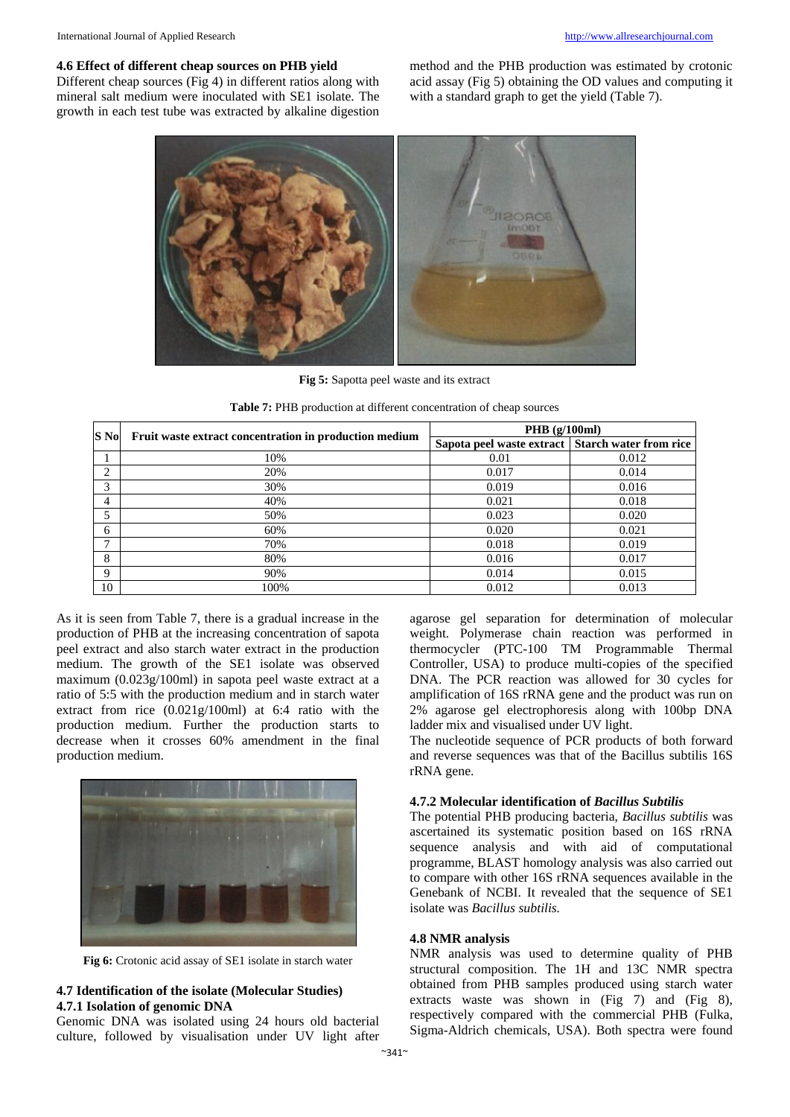#### **4.6 Effect of different cheap sources on PHB yield**

Different cheap sources (Fig 4) in different ratios along with mineral salt medium were inoculated with SE1 isolate. The growth in each test tube was extracted by alkaline digestion

method and the PHB production was estimated by crotonic acid assay (Fig 5) obtaining the OD values and computing it with a standard graph to get the yield (Table 7).



**Fig 5:** Sapotta peel waste and its extract

**Table 7:** PHB production at different concentration of cheap sources

| S No | Fruit waste extract concentration in production medium | PHB $(g/100ml)$                                    |       |
|------|--------------------------------------------------------|----------------------------------------------------|-------|
|      |                                                        | Sapota peel waste extract   Starch water from rice |       |
|      | 10%                                                    | 0.01                                               | 0.012 |
| ∍    | 20%                                                    | 0.017                                              | 0.014 |
| 3    | 30%                                                    | 0.019                                              | 0.016 |
| 4    | 40%                                                    | 0.021                                              | 0.018 |
| 5    | 50%                                                    | 0.023                                              | 0.020 |
| 6    | 60%                                                    | 0.020                                              | 0.021 |
| ⇁    | 70%                                                    | 0.018                                              | 0.019 |
| 8    | 80%                                                    | 0.016                                              | 0.017 |
| Q    | 90%                                                    | 0.014                                              | 0.015 |
| 10   | 100%                                                   | 0.012                                              | 0.013 |

As it is seen from Table 7, there is a gradual increase in the production of PHB at the increasing concentration of sapota peel extract and also starch water extract in the production medium. The growth of the SE1 isolate was observed maximum (0.023g/100ml) in sapota peel waste extract at a ratio of 5:5 with the production medium and in starch water extract from rice (0.021g/100ml) at 6:4 ratio with the production medium. Further the production starts to decrease when it crosses 60% amendment in the final production medium.



**Fig 6:** Crotonic acid assay of SE1 isolate in starch water

#### **4.7 Identification of the isolate (Molecular Studies) 4.7.1 Isolation of genomic DNA**

Genomic DNA was isolated using 24 hours old bacterial culture, followed by visualisation under UV light after agarose gel separation for determination of molecular weight. Polymerase chain reaction was performed in thermocycler (PTC-100 TM Programmable Thermal Controller, USA) to produce multi-copies of the specified DNA. The PCR reaction was allowed for 30 cycles for amplification of 16S rRNA gene and the product was run on 2% agarose gel electrophoresis along with 100bp DNA ladder mix and visualised under UV light.

The nucleotide sequence of PCR products of both forward and reverse sequences was that of the Bacillus subtilis 16S rRNA gene.

#### **4.7.2 Molecular identification of** *Bacillus Subtilis*

The potential PHB producing bacteria, *Bacillus subtilis* was ascertained its systematic position based on 16S rRNA sequence analysis and with aid of computational programme, BLAST homology analysis was also carried out to compare with other 16S rRNA sequences available in the Genebank of NCBI. It revealed that the sequence of SE1 isolate was *Bacillus subtilis.* 

#### **4.8 NMR analysis**

NMR analysis was used to determine quality of PHB structural composition. The 1H and 13C NMR spectra obtained from PHB samples produced using starch water extracts waste was shown in (Fig 7) and (Fig 8), respectively compared with the commercial PHB (Fulka, Sigma-Aldrich chemicals, USA). Both spectra were found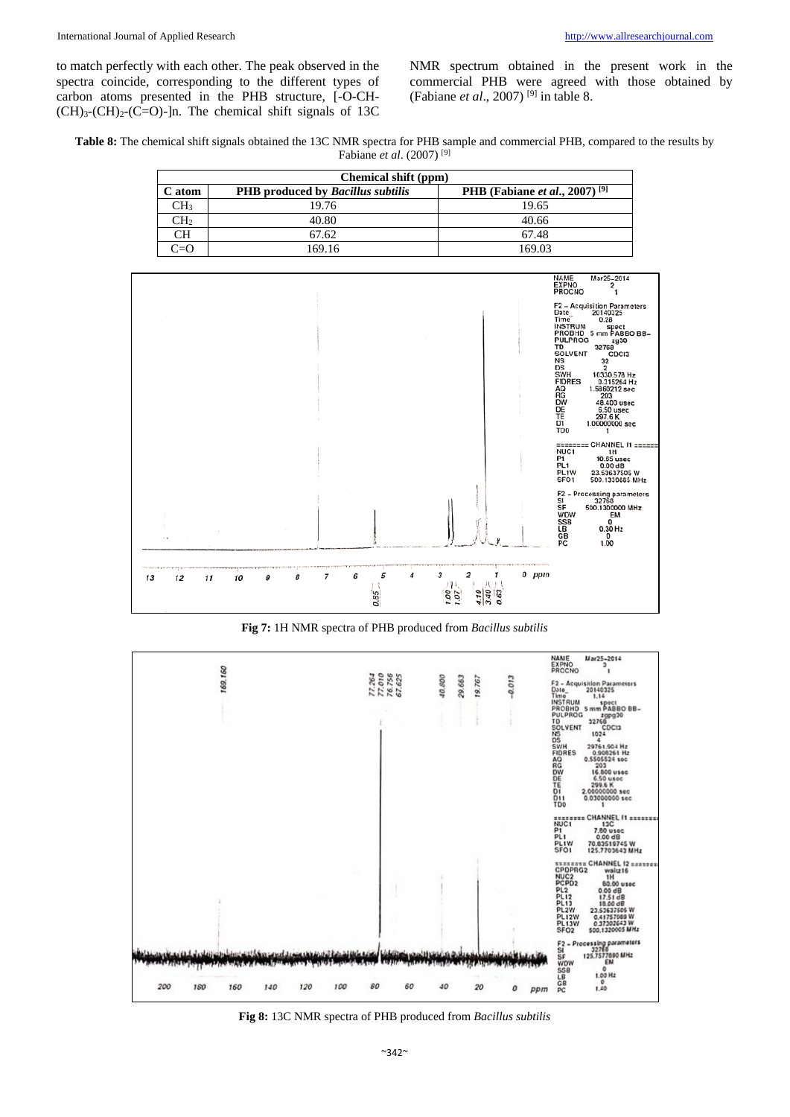to match perfectly with each other. The peak observed in the spectra coincide, corresponding to the different types of carbon atoms presented in the PHB structure, [-O-CH-  $(CH)<sub>3</sub>(CH)<sub>2</sub>(C=O)$ -]n. The chemical shift signals of 13C

NMR spectrum obtained in the present work in the commercial PHB were agreed with those obtained by (Fabiane *et al*., 2007) [9] in table 8.

**Table 8:** The chemical shift signals obtained the 13C NMR spectra for PHB sample and commercial PHB, compared to the results by Fabiane *et al*. (2007) [9]

| Chemical shift (ppm) |                                                 |                                                          |  |  |
|----------------------|-------------------------------------------------|----------------------------------------------------------|--|--|
| C atom               | <b>PHB</b> produced by <i>Bacillus subtilis</i> | <b>PHB</b> (Fabiane <i>et al.</i> , 2007) <sup>[9]</sup> |  |  |
| CH <sub>3</sub>      | 19.76                                           | 19.65                                                    |  |  |
| CH2                  | 40.80                                           | 40.66                                                    |  |  |
| CН                   | 67.62                                           | 67.48                                                    |  |  |
| $T = \Omega$         | 169.16                                          | 169.03                                                   |  |  |



**Fig 7:** 1H NMR spectra of PHB produced from *Bacillus subtilis*



**Fig 8:** 13C NMR spectra of PHB produced from *Bacillus subtilis*